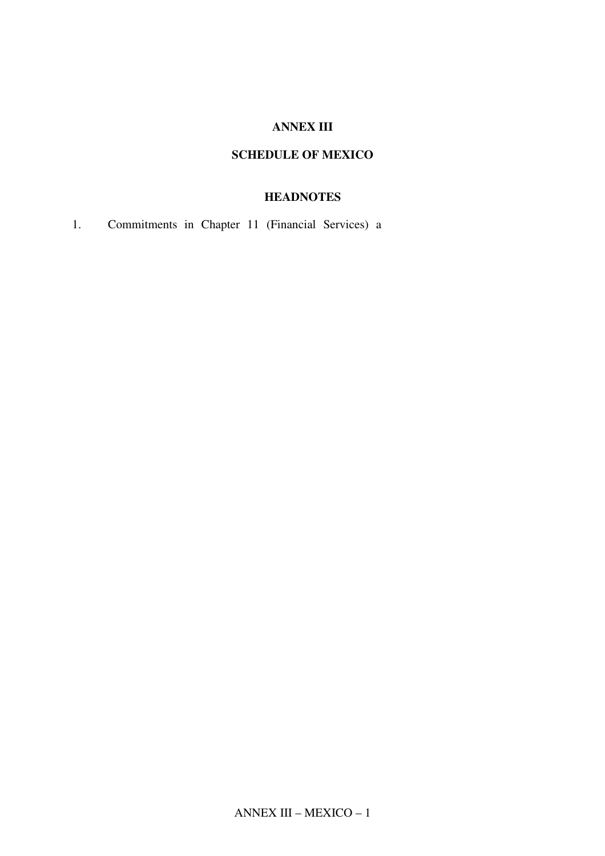#### **ANNEX III**

## **SCHEDULE OF MEXICO**

## **HEADNOTES**

1. Commitments in Chapter 11 (Financial Services) a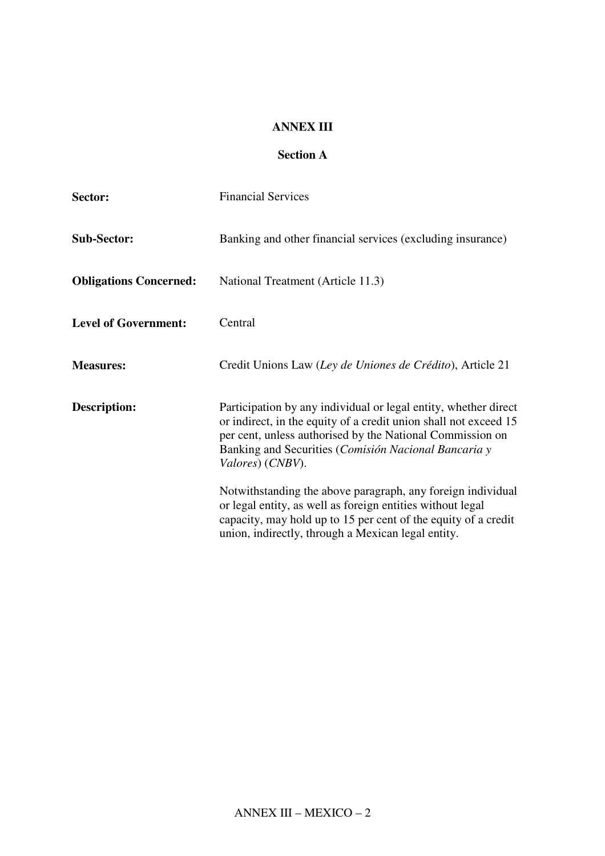### **ANNEX III**

# **Section A**

| Sector:                       | <b>Financial Services</b>                                                                                                                                                                                                                                                    |  |  |
|-------------------------------|------------------------------------------------------------------------------------------------------------------------------------------------------------------------------------------------------------------------------------------------------------------------------|--|--|
| <b>Sub-Sector:</b>            | Banking and other financial services (excluding insurance)                                                                                                                                                                                                                   |  |  |
| <b>Obligations Concerned:</b> | National Treatment (Article 11.3)                                                                                                                                                                                                                                            |  |  |
| <b>Level of Government:</b>   | Central                                                                                                                                                                                                                                                                      |  |  |
| <b>Measures:</b>              | Credit Unions Law (Ley de Uniones de Crédito), Article 21                                                                                                                                                                                                                    |  |  |
| <b>Description:</b>           | Participation by any individual or legal entity, whether direct<br>or indirect, in the equity of a credit union shall not exceed 15<br>per cent, unless authorised by the National Commission on<br>Banking and Securities (Comisión Nacional Bancaria y<br>Valores) (CNBV). |  |  |
|                               | Notwithstanding the above paragraph, any foreign individual<br>or legal entity, as well as foreign entities without legal<br>capacity, may hold up to 15 per cent of the equity of a credit<br>union, indirectly, through a Mexican legal entity.                            |  |  |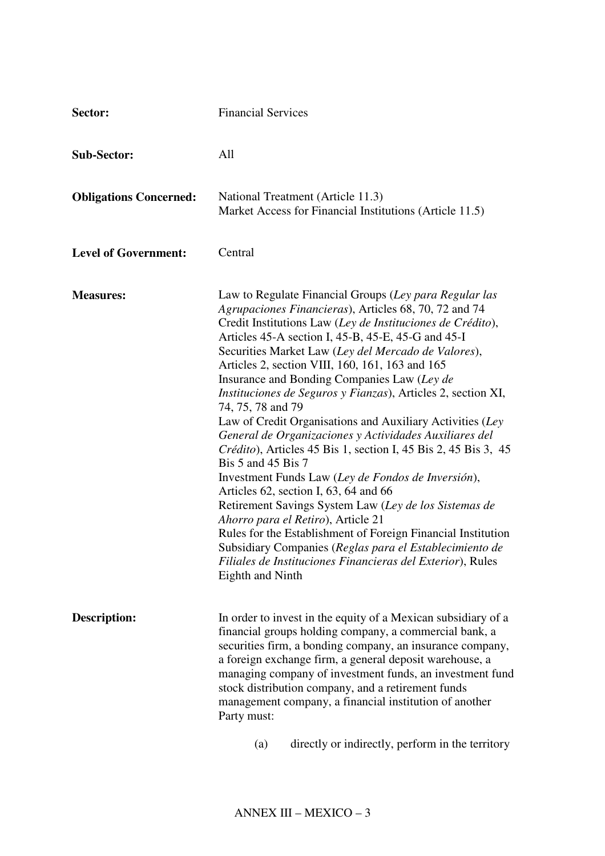| Sector:                       | <b>Financial Services</b>                                                                                                                                                                                                                                                                                                                                                                                                                                                                                                                                                                                                                                                                                                                                                                                                                                                                                                                                                                                                                                                                                           |  |  |
|-------------------------------|---------------------------------------------------------------------------------------------------------------------------------------------------------------------------------------------------------------------------------------------------------------------------------------------------------------------------------------------------------------------------------------------------------------------------------------------------------------------------------------------------------------------------------------------------------------------------------------------------------------------------------------------------------------------------------------------------------------------------------------------------------------------------------------------------------------------------------------------------------------------------------------------------------------------------------------------------------------------------------------------------------------------------------------------------------------------------------------------------------------------|--|--|
| <b>Sub-Sector:</b>            | All                                                                                                                                                                                                                                                                                                                                                                                                                                                                                                                                                                                                                                                                                                                                                                                                                                                                                                                                                                                                                                                                                                                 |  |  |
| <b>Obligations Concerned:</b> | National Treatment (Article 11.3)<br>Market Access for Financial Institutions (Article 11.5)                                                                                                                                                                                                                                                                                                                                                                                                                                                                                                                                                                                                                                                                                                                                                                                                                                                                                                                                                                                                                        |  |  |
| <b>Level of Government:</b>   | Central                                                                                                                                                                                                                                                                                                                                                                                                                                                                                                                                                                                                                                                                                                                                                                                                                                                                                                                                                                                                                                                                                                             |  |  |
| <b>Measures:</b>              | Law to Regulate Financial Groups (Ley para Regular las<br>Agrupaciones Financieras), Articles 68, 70, 72 and 74<br>Credit Institutions Law (Ley de Instituciones de Crédito),<br>Articles 45-A section I, 45-B, 45-E, 45-G and 45-I<br>Securities Market Law (Ley del Mercado de Valores),<br>Articles 2, section VIII, 160, 161, 163 and 165<br>Insurance and Bonding Companies Law (Ley de<br><i>Instituciones de Seguros y Fianzas</i> ), Articles 2, section XI,<br>74, 75, 78 and 79<br>Law of Credit Organisations and Auxiliary Activities (Ley<br>General de Organizaciones y Actividades Auxiliares del<br>Crédito), Articles 45 Bis 1, section I, 45 Bis 2, 45 Bis 3, 45<br>Bis 5 and 45 Bis 7<br>Investment Funds Law (Ley de Fondos de Inversión),<br>Articles 62, section I, 63, 64 and 66<br>Retirement Savings System Law (Ley de los Sistemas de<br>Ahorro para el Retiro), Article 21<br>Rules for the Establishment of Foreign Financial Institution<br>Subsidiary Companies (Reglas para el Establecimiento de<br>Filiales de Instituciones Financieras del Exterior), Rules<br>Eighth and Ninth |  |  |
| Description:                  | In order to invest in the equity of a Mexican subsidiary of a<br>financial groups holding company, a commercial bank, a<br>securities firm, a bonding company, an insurance company,<br>a foreign exchange firm, a general deposit warehouse, a<br>managing company of investment funds, an investment fund<br>stock distribution company, and a retirement funds<br>management company, a financial institution of another<br>Party must:                                                                                                                                                                                                                                                                                                                                                                                                                                                                                                                                                                                                                                                                          |  |  |
|                               | directly or indirectly, perform in the territory<br>(a)                                                                                                                                                                                                                                                                                                                                                                                                                                                                                                                                                                                                                                                                                                                                                                                                                                                                                                                                                                                                                                                             |  |  |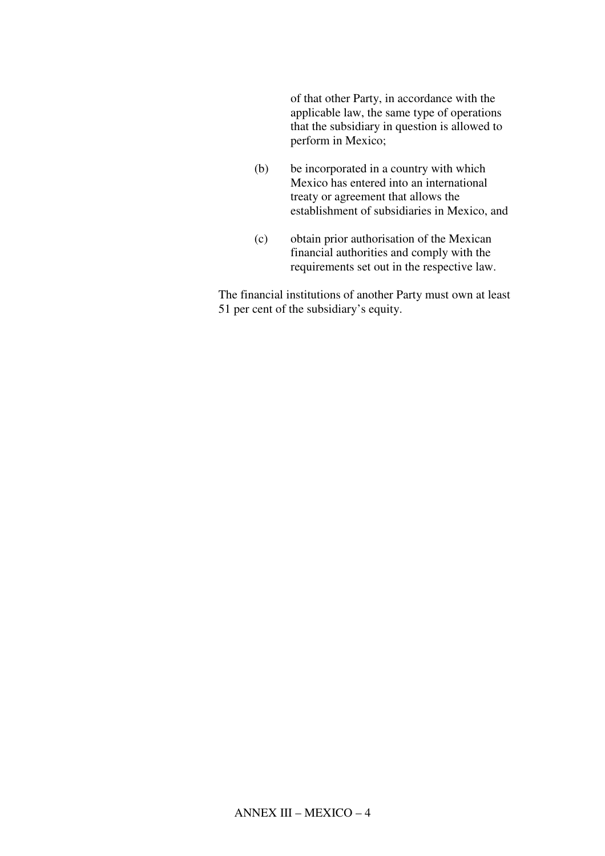of that other Party, in accordance with the applicable law, the same type of operations that the subsidiary in question is allowed to perform in Mexico;

- (b) be incorporated in a country with which Mexico has entered into an international treaty or agreement that allows the establishment of subsidiaries in Mexico, and
- (c) obtain prior authorisation of the Mexican financial authorities and comply with the requirements set out in the respective law.

The financial institutions of another Party must own at least 51 per cent of the subsidiary's equity.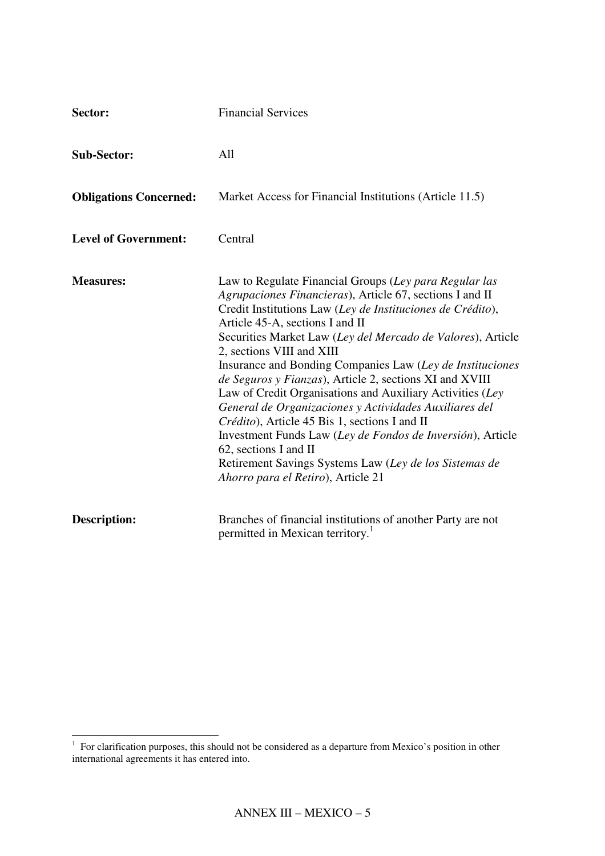| Sector:                       | <b>Financial Services</b>                                                                                                                                                                                                                                                                                                                                                                                                                                                                                                                                                                                                                                                                                                                                                                              |
|-------------------------------|--------------------------------------------------------------------------------------------------------------------------------------------------------------------------------------------------------------------------------------------------------------------------------------------------------------------------------------------------------------------------------------------------------------------------------------------------------------------------------------------------------------------------------------------------------------------------------------------------------------------------------------------------------------------------------------------------------------------------------------------------------------------------------------------------------|
| <b>Sub-Sector:</b>            | All                                                                                                                                                                                                                                                                                                                                                                                                                                                                                                                                                                                                                                                                                                                                                                                                    |
| <b>Obligations Concerned:</b> | Market Access for Financial Institutions (Article 11.5)                                                                                                                                                                                                                                                                                                                                                                                                                                                                                                                                                                                                                                                                                                                                                |
| <b>Level of Government:</b>   | Central                                                                                                                                                                                                                                                                                                                                                                                                                                                                                                                                                                                                                                                                                                                                                                                                |
| <b>Measures:</b>              | Law to Regulate Financial Groups (Ley para Regular las<br>Agrupaciones Financieras), Article 67, sections I and II<br>Credit Institutions Law (Ley de Instituciones de Crédito),<br>Article 45-A, sections I and II<br>Securities Market Law (Ley del Mercado de Valores), Article<br>2, sections VIII and XIII<br>Insurance and Bonding Companies Law (Ley de Instituciones<br>de Seguros y Fianzas), Article 2, sections XI and XVIII<br>Law of Credit Organisations and Auxiliary Activities (Ley<br>General de Organizaciones y Actividades Auxiliares del<br>Crédito), Article 45 Bis 1, sections I and II<br>Investment Funds Law (Ley de Fondos de Inversión), Article<br>62, sections I and II<br>Retirement Savings Systems Law (Ley de los Sistemas de<br>Ahorro para el Retiro), Article 21 |
| <b>Description:</b>           | Branches of financial institutions of another Party are not<br>permitted in Mexican territory. <sup>1</sup>                                                                                                                                                                                                                                                                                                                                                                                                                                                                                                                                                                                                                                                                                            |

 $\overline{a}$ 

 $<sup>1</sup>$  For clarification purposes, this should not be considered as a departure from Mexico's position in other</sup> international agreements it has entered into.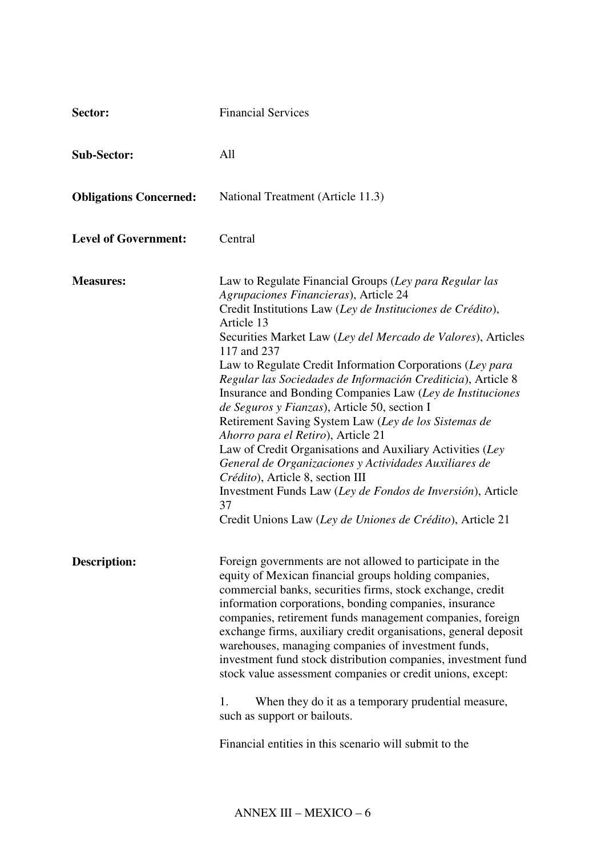| Sector:                       | <b>Financial Services</b>                                                                                                                                                                                                                                                                                                                                                                                                                                                                                                                                                                                                                                                                                                                                                                                                                                                                     |  |  |
|-------------------------------|-----------------------------------------------------------------------------------------------------------------------------------------------------------------------------------------------------------------------------------------------------------------------------------------------------------------------------------------------------------------------------------------------------------------------------------------------------------------------------------------------------------------------------------------------------------------------------------------------------------------------------------------------------------------------------------------------------------------------------------------------------------------------------------------------------------------------------------------------------------------------------------------------|--|--|
| <b>Sub-Sector:</b>            | All                                                                                                                                                                                                                                                                                                                                                                                                                                                                                                                                                                                                                                                                                                                                                                                                                                                                                           |  |  |
| <b>Obligations Concerned:</b> | National Treatment (Article 11.3)                                                                                                                                                                                                                                                                                                                                                                                                                                                                                                                                                                                                                                                                                                                                                                                                                                                             |  |  |
| <b>Level of Government:</b>   | Central                                                                                                                                                                                                                                                                                                                                                                                                                                                                                                                                                                                                                                                                                                                                                                                                                                                                                       |  |  |
| <b>Measures:</b>              | Law to Regulate Financial Groups (Ley para Regular las<br>Agrupaciones Financieras), Article 24<br>Credit Institutions Law (Ley de Instituciones de Crédito),<br>Article 13<br>Securities Market Law (Ley del Mercado de Valores), Articles<br>117 and 237<br>Law to Regulate Credit Information Corporations (Ley para<br>Regular las Sociedades de Información Crediticia), Article 8<br>Insurance and Bonding Companies Law (Ley de Instituciones<br>de Seguros y Fianzas), Article 50, section I<br>Retirement Saving System Law (Ley de los Sistemas de<br>Ahorro para el Retiro), Article 21<br>Law of Credit Organisations and Auxiliary Activities (Ley<br>General de Organizaciones y Actividades Auxiliares de<br>Crédito), Article 8, section III<br>Investment Funds Law (Ley de Fondos de Inversión), Article<br>37<br>Credit Unions Law (Ley de Uniones de Crédito), Article 21 |  |  |
| <b>Description:</b>           | Foreign governments are not allowed to participate in the<br>equity of Mexican financial groups holding companies,<br>commercial banks, securities firms, stock exchange, credit<br>information corporations, bonding companies, insurance<br>companies, retirement funds management companies, foreign<br>exchange firms, auxiliary credit organisations, general deposit<br>warehouses, managing companies of investment funds,<br>investment fund stock distribution companies, investment fund<br>stock value assessment companies or credit unions, except:<br>When they do it as a temporary prudential measure,<br>1.<br>such as support or bailouts.<br>Financial entities in this scenario will submit to the                                                                                                                                                                        |  |  |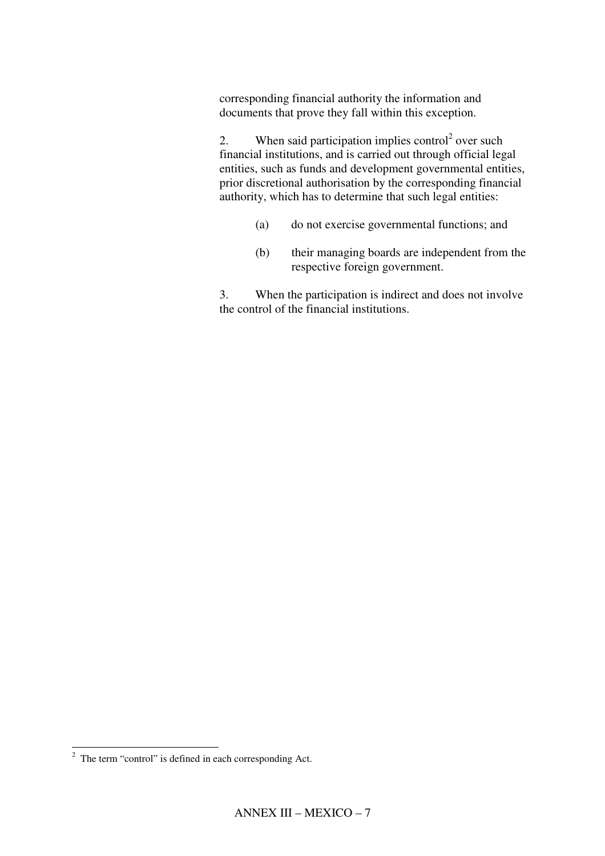corresponding financial authority the information and documents that prove they fall within this exception.

2. When said participation implies control<sup>2</sup> over such financial institutions, and is carried out through official legal entities, such as funds and development governmental entities, prior discretional authorisation by the corresponding financial authority, which has to determine that such legal entities:

- (a) do not exercise governmental functions; and
- (b) their managing boards are independent from the respective foreign government.

3. When the participation is indirect and does not involve the control of the financial institutions.

l

 $2$  The term "control" is defined in each corresponding Act.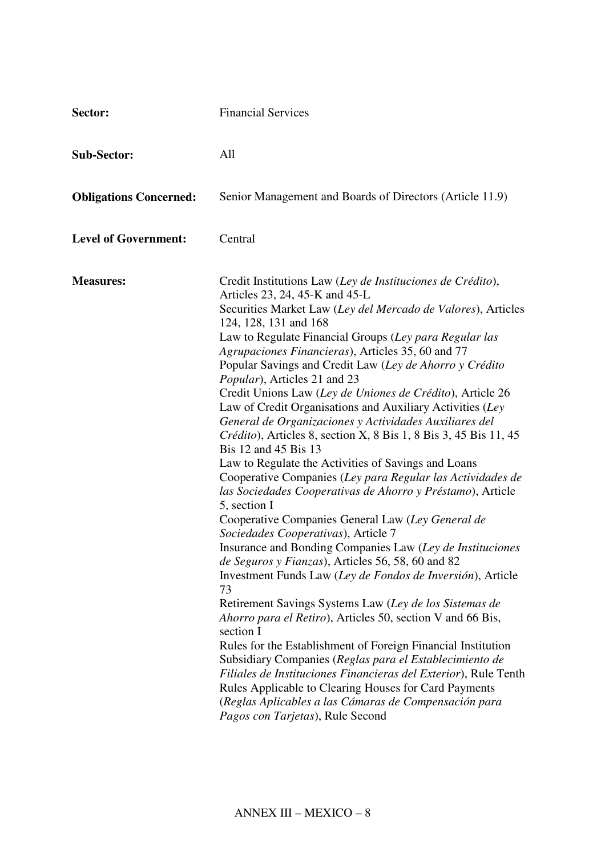| Sector:                       | <b>Financial Services</b>                                                                                                                                                                                                                                                                                                                                                                                                                                                                                                                                                                                                                                                                                                                                                                                                                                                                                                                                                                                                                                                                                                                                                                                                                                                                                                                                                                                                                                                                                                                                                                                                                                             |  |  |
|-------------------------------|-----------------------------------------------------------------------------------------------------------------------------------------------------------------------------------------------------------------------------------------------------------------------------------------------------------------------------------------------------------------------------------------------------------------------------------------------------------------------------------------------------------------------------------------------------------------------------------------------------------------------------------------------------------------------------------------------------------------------------------------------------------------------------------------------------------------------------------------------------------------------------------------------------------------------------------------------------------------------------------------------------------------------------------------------------------------------------------------------------------------------------------------------------------------------------------------------------------------------------------------------------------------------------------------------------------------------------------------------------------------------------------------------------------------------------------------------------------------------------------------------------------------------------------------------------------------------------------------------------------------------------------------------------------------------|--|--|
| <b>Sub-Sector:</b>            | All                                                                                                                                                                                                                                                                                                                                                                                                                                                                                                                                                                                                                                                                                                                                                                                                                                                                                                                                                                                                                                                                                                                                                                                                                                                                                                                                                                                                                                                                                                                                                                                                                                                                   |  |  |
| <b>Obligations Concerned:</b> | Senior Management and Boards of Directors (Article 11.9)                                                                                                                                                                                                                                                                                                                                                                                                                                                                                                                                                                                                                                                                                                                                                                                                                                                                                                                                                                                                                                                                                                                                                                                                                                                                                                                                                                                                                                                                                                                                                                                                              |  |  |
| <b>Level of Government:</b>   | Central                                                                                                                                                                                                                                                                                                                                                                                                                                                                                                                                                                                                                                                                                                                                                                                                                                                                                                                                                                                                                                                                                                                                                                                                                                                                                                                                                                                                                                                                                                                                                                                                                                                               |  |  |
| <b>Measures:</b>              | Credit Institutions Law (Ley de Instituciones de Crédito),<br>Articles 23, 24, 45-K and 45-L<br>Securities Market Law (Ley del Mercado de Valores), Articles<br>124, 128, 131 and 168<br>Law to Regulate Financial Groups (Ley para Regular las<br>Agrupaciones Financieras), Articles 35, 60 and 77<br>Popular Savings and Credit Law (Ley de Ahorro y Crédito<br>Popular), Articles 21 and 23<br>Credit Unions Law (Ley de Uniones de Crédito), Article 26<br>Law of Credit Organisations and Auxiliary Activities (Ley<br>General de Organizaciones y Actividades Auxiliares del<br>Crédito), Articles 8, section X, 8 Bis 1, 8 Bis 3, 45 Bis 11, 45<br>Bis 12 and 45 Bis 13<br>Law to Regulate the Activities of Savings and Loans<br>Cooperative Companies (Ley para Regular las Actividades de<br>las Sociedades Cooperativas de Ahorro y Préstamo), Article<br>5, section I<br>Cooperative Companies General Law (Ley General de<br>Sociedades Cooperativas), Article 7<br>Insurance and Bonding Companies Law (Ley de Instituciones<br>de Seguros y Fianzas), Articles 56, 58, 60 and 82<br>Investment Funds Law (Ley de Fondos de Inversión), Article<br>73<br>Retirement Savings Systems Law (Ley de los Sistemas de<br><i>Ahorro para el Retiro</i> ), Articles 50, section V and 66 Bis,<br>section I<br>Rules for the Establishment of Foreign Financial Institution<br>Subsidiary Companies (Reglas para el Establecimiento de<br>Filiales de Instituciones Financieras del Exterior), Rule Tenth<br>Rules Applicable to Clearing Houses for Card Payments<br>(Reglas Aplicables a las Cámaras de Compensación para<br>Pagos con Tarjetas), Rule Second |  |  |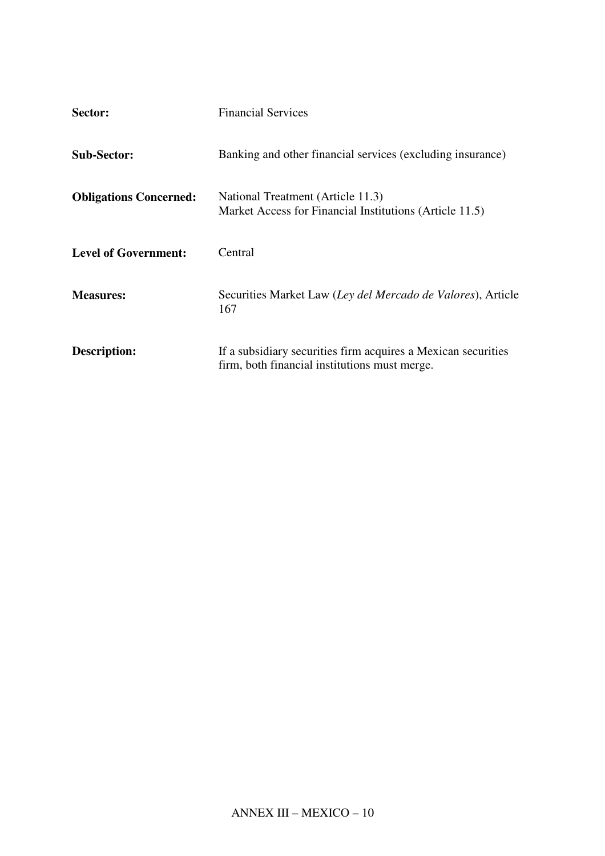| Sector:                       | <b>Financial Services</b>                                                                                      |
|-------------------------------|----------------------------------------------------------------------------------------------------------------|
| <b>Sub-Sector:</b>            | Banking and other financial services (excluding insurance)                                                     |
| <b>Obligations Concerned:</b> | National Treatment (Article 11.3)<br>Market Access for Financial Institutions (Article 11.5)                   |
| <b>Level of Government:</b>   | Central                                                                                                        |
| <b>Measures:</b>              | Securities Market Law (Ley del Mercado de Valores), Article<br>167                                             |
| <b>Description:</b>           | If a subsidiary securities firm acquires a Mexican securities<br>firm, both financial institutions must merge. |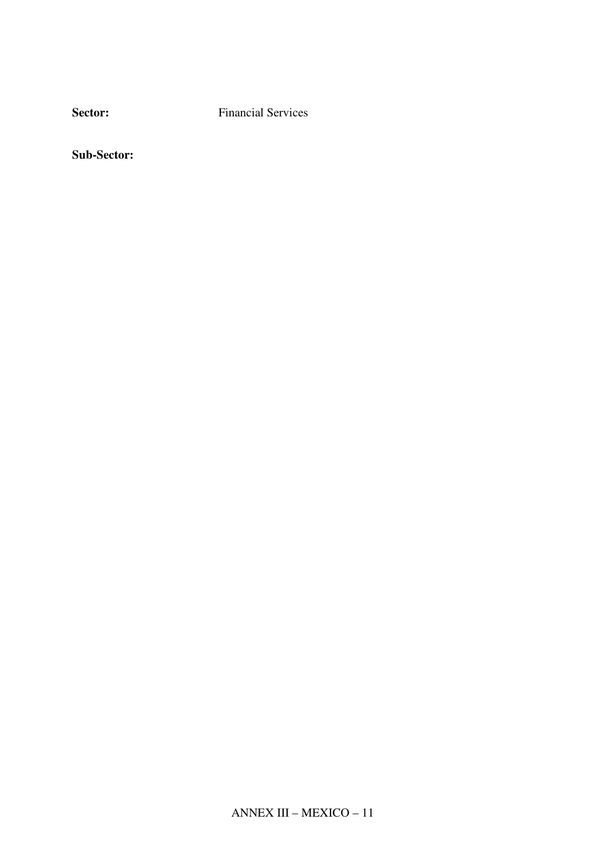**Sector:** Financial Services

Sub-Sector: Banking and other f439()-0.16436(a)3.7295585(a)3.74(n)-0.29515(g)9.7c659(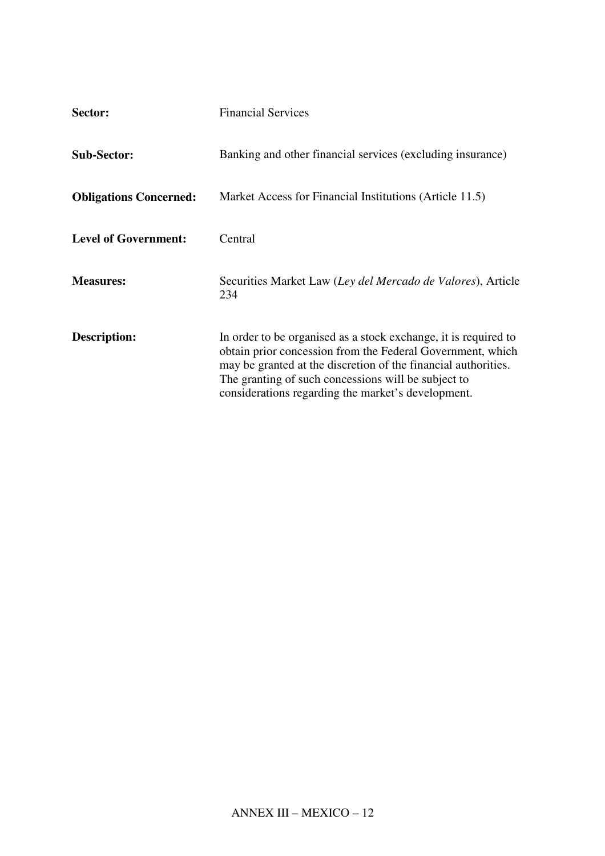| Sector:                       | <b>Financial Services</b>                                                                                                                                                                                                                                                                                    |  |  |
|-------------------------------|--------------------------------------------------------------------------------------------------------------------------------------------------------------------------------------------------------------------------------------------------------------------------------------------------------------|--|--|
| <b>Sub-Sector:</b>            | Banking and other financial services (excluding insurance)                                                                                                                                                                                                                                                   |  |  |
| <b>Obligations Concerned:</b> | Market Access for Financial Institutions (Article 11.5)                                                                                                                                                                                                                                                      |  |  |
| <b>Level of Government:</b>   | Central                                                                                                                                                                                                                                                                                                      |  |  |
| <b>Measures:</b>              | Securities Market Law (Ley del Mercado de Valores), Article<br>234                                                                                                                                                                                                                                           |  |  |
| Description:                  | In order to be organised as a stock exchange, it is required to<br>obtain prior concession from the Federal Government, which<br>may be granted at the discretion of the financial authorities.<br>The granting of such concessions will be subject to<br>considerations regarding the market's development. |  |  |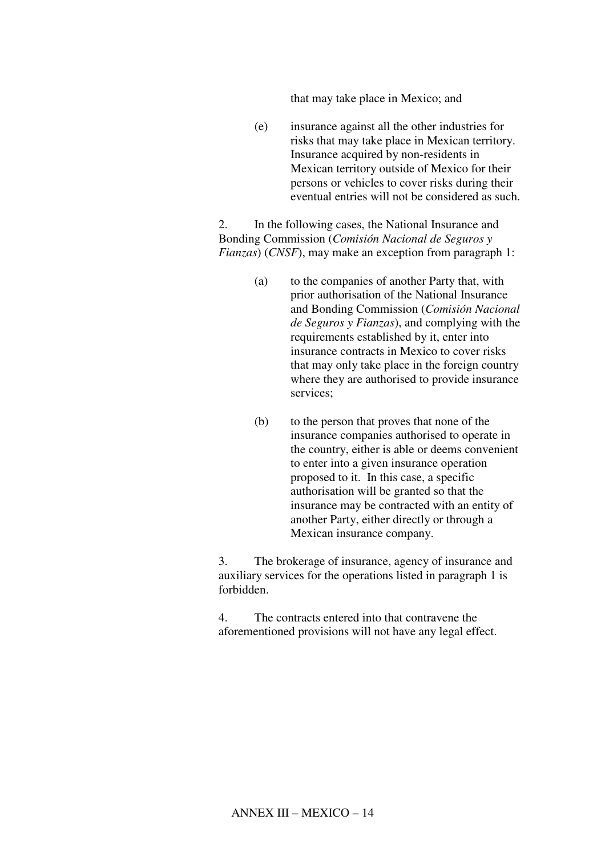that may take place in Mexico; and

(e) insurance against all the other industries for risks that may take place in Mexican territory. Insurance acquired by non-residents in Mexican territory outside of Mexico for their persons or vehicles to cover risks during their eventual entries will not be considered as such.

2. In the following cases, the National Insurance and Bonding Commission (*Comisión Nacional de Seguros y Fianzas*) (*CNSF*), may make an exception from paragraph 1:

- (a) to the companies of another Party that, with prior authorisation of the National Insurance and Bonding Commission (*Comisión Nacional de Seguros y Fianzas*), and complying with the requirements established by it, enter into insurance contracts in Mexico to cover risks that may only take place in the foreign country where they are authorised to provide insurance services;
- (b) to the person that proves that none of the insurance companies authorised to operate in the country, either is able or deems convenient to enter into a given insurance operation proposed to it. In this case, a specific authorisation will be granted so that the insurance may be contracted with an entity of another Party, either directly or through a Mexican insurance company.

3. The brokerage of insurance, agency of insurance and auxiliary services for the operations listed in paragraph 1 is forbidden.

4. The contracts entered into that contravene the aforementioned provisions will not have any legal effect.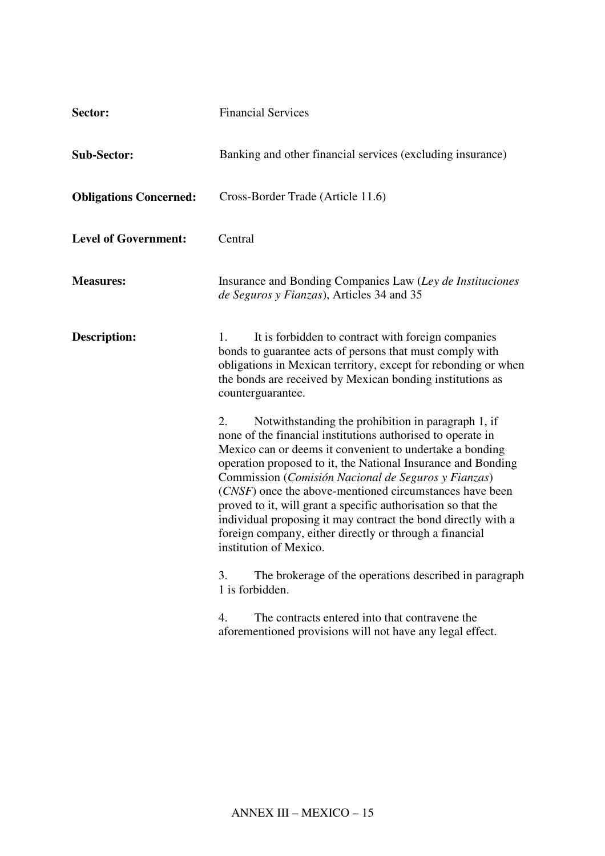| Sector:                       | <b>Financial Services</b>                                                                                                                                                                                                                                                                                                                                                                                                                                                                                                                                                                    |  |  |
|-------------------------------|----------------------------------------------------------------------------------------------------------------------------------------------------------------------------------------------------------------------------------------------------------------------------------------------------------------------------------------------------------------------------------------------------------------------------------------------------------------------------------------------------------------------------------------------------------------------------------------------|--|--|
| <b>Sub-Sector:</b>            | Banking and other financial services (excluding insurance)                                                                                                                                                                                                                                                                                                                                                                                                                                                                                                                                   |  |  |
| <b>Obligations Concerned:</b> | Cross-Border Trade (Article 11.6)                                                                                                                                                                                                                                                                                                                                                                                                                                                                                                                                                            |  |  |
| <b>Level of Government:</b>   | Central                                                                                                                                                                                                                                                                                                                                                                                                                                                                                                                                                                                      |  |  |
| <b>Measures:</b>              | Insurance and Bonding Companies Law (Ley de Instituciones<br>de Seguros y Fianzas), Articles 34 and 35                                                                                                                                                                                                                                                                                                                                                                                                                                                                                       |  |  |
| Description:                  | It is forbidden to contract with foreign companies<br>1.<br>bonds to guarantee acts of persons that must comply with<br>obligations in Mexican territory, except for rebonding or when<br>the bonds are received by Mexican bonding institutions as<br>counterguarantee.                                                                                                                                                                                                                                                                                                                     |  |  |
|                               | Notwithstanding the prohibition in paragraph 1, if<br>2.<br>none of the financial institutions authorised to operate in<br>Mexico can or deems it convenient to undertake a bonding<br>operation proposed to it, the National Insurance and Bonding<br>Commission (Comisión Nacional de Seguros y Fianzas)<br>(CNSF) once the above-mentioned circumstances have been<br>proved to it, will grant a specific authorisation so that the<br>individual proposing it may contract the bond directly with a<br>foreign company, either directly or through a financial<br>institution of Mexico. |  |  |
|                               | The brokerage of the operations described in paragraph<br>3.<br>1 is forbidden.                                                                                                                                                                                                                                                                                                                                                                                                                                                                                                              |  |  |
|                               | The contracts entered into that contravene the<br>4.<br>aforementioned provisions will not have any legal effect.                                                                                                                                                                                                                                                                                                                                                                                                                                                                            |  |  |
|                               |                                                                                                                                                                                                                                                                                                                                                                                                                                                                                                                                                                                              |  |  |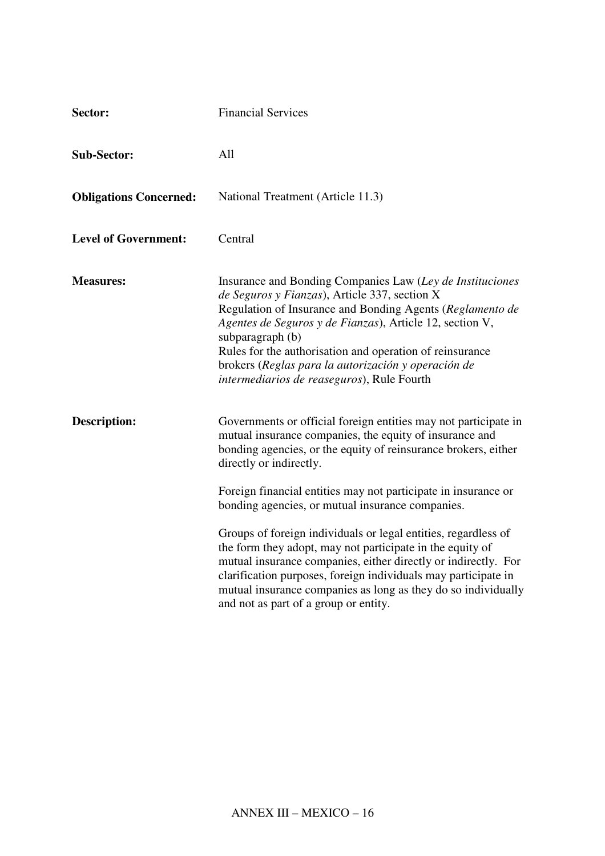| Sector:                       | <b>Financial Services</b>                                                                                                                                                                                                                                                                                                                                                                                                                                                                                                                                                                                                                                                                                                  |  |  |
|-------------------------------|----------------------------------------------------------------------------------------------------------------------------------------------------------------------------------------------------------------------------------------------------------------------------------------------------------------------------------------------------------------------------------------------------------------------------------------------------------------------------------------------------------------------------------------------------------------------------------------------------------------------------------------------------------------------------------------------------------------------------|--|--|
| <b>Sub-Sector:</b>            | All                                                                                                                                                                                                                                                                                                                                                                                                                                                                                                                                                                                                                                                                                                                        |  |  |
| <b>Obligations Concerned:</b> | National Treatment (Article 11.3)                                                                                                                                                                                                                                                                                                                                                                                                                                                                                                                                                                                                                                                                                          |  |  |
| <b>Level of Government:</b>   | Central                                                                                                                                                                                                                                                                                                                                                                                                                                                                                                                                                                                                                                                                                                                    |  |  |
| <b>Measures:</b>              | Insurance and Bonding Companies Law (Ley de Instituciones<br>de Seguros y Fianzas), Article 337, section X<br>Regulation of Insurance and Bonding Agents (Reglamento de<br>Agentes de Seguros y de Fianzas), Article 12, section V,<br>subparagraph (b)<br>Rules for the authorisation and operation of reinsurance<br>brokers (Reglas para la autorización y operación de<br>intermediarios de reaseguros), Rule Fourth                                                                                                                                                                                                                                                                                                   |  |  |
| <b>Description:</b>           | Governments or official foreign entities may not participate in<br>mutual insurance companies, the equity of insurance and<br>bonding agencies, or the equity of reinsurance brokers, either<br>directly or indirectly.<br>Foreign financial entities may not participate in insurance or<br>bonding agencies, or mutual insurance companies.<br>Groups of foreign individuals or legal entities, regardless of<br>the form they adopt, may not participate in the equity of<br>mutual insurance companies, either directly or indirectly. For<br>clarification purposes, foreign individuals may participate in<br>mutual insurance companies as long as they do so individually<br>and not as part of a group or entity. |  |  |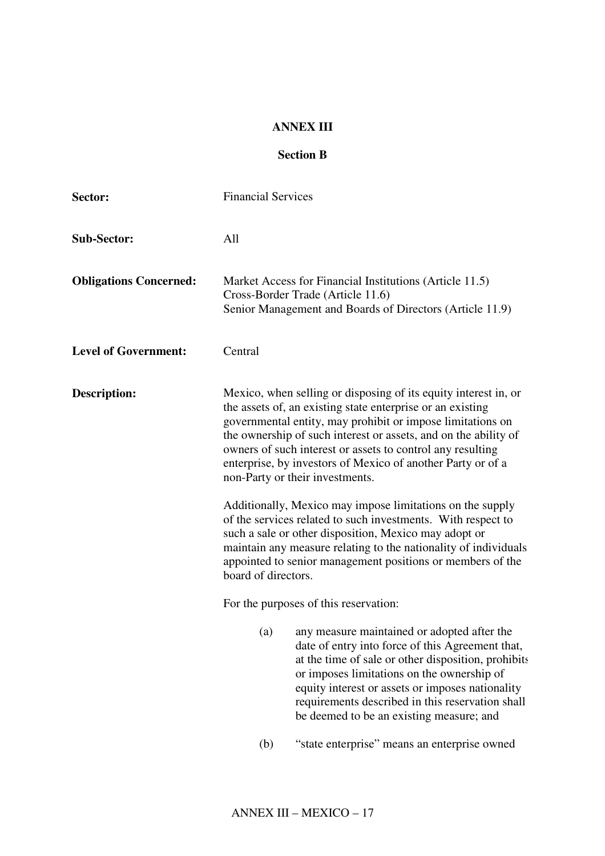#### **ANNEX III**

#### **Section B**

| Sector:                       | <b>Financial Services</b>                                                                                                                                                                                                                                                                                                                                                                                                      |                                                                                                                                                                                                                                                                                                                                                          |
|-------------------------------|--------------------------------------------------------------------------------------------------------------------------------------------------------------------------------------------------------------------------------------------------------------------------------------------------------------------------------------------------------------------------------------------------------------------------------|----------------------------------------------------------------------------------------------------------------------------------------------------------------------------------------------------------------------------------------------------------------------------------------------------------------------------------------------------------|
| <b>Sub-Sector:</b>            | All                                                                                                                                                                                                                                                                                                                                                                                                                            |                                                                                                                                                                                                                                                                                                                                                          |
| <b>Obligations Concerned:</b> |                                                                                                                                                                                                                                                                                                                                                                                                                                | Market Access for Financial Institutions (Article 11.5)<br>Cross-Border Trade (Article 11.6)<br>Senior Management and Boards of Directors (Article 11.9)                                                                                                                                                                                                 |
| <b>Level of Government:</b>   | Central                                                                                                                                                                                                                                                                                                                                                                                                                        |                                                                                                                                                                                                                                                                                                                                                          |
| <b>Description:</b>           | Mexico, when selling or disposing of its equity interest in, or<br>the assets of, an existing state enterprise or an existing<br>governmental entity, may prohibit or impose limitations on<br>the ownership of such interest or assets, and on the ability of<br>owners of such interest or assets to control any resulting<br>enterprise, by investors of Mexico of another Party or of a<br>non-Party or their investments. |                                                                                                                                                                                                                                                                                                                                                          |
|                               | board of directors.                                                                                                                                                                                                                                                                                                                                                                                                            | Additionally, Mexico may impose limitations on the supply<br>of the services related to such investments. With respect to<br>such a sale or other disposition, Mexico may adopt or<br>maintain any measure relating to the nationality of individuals<br>appointed to senior management positions or members of the                                      |
|                               |                                                                                                                                                                                                                                                                                                                                                                                                                                | For the purposes of this reservation:                                                                                                                                                                                                                                                                                                                    |
|                               | (a)                                                                                                                                                                                                                                                                                                                                                                                                                            | any measure maintained or adopted after the<br>date of entry into force of this Agreement that,<br>at the time of sale or other disposition, prohibits<br>or imposes limitations on the ownership of<br>equity interest or assets or imposes nationality<br>requirements described in this reservation shall<br>be deemed to be an existing measure; and |
|                               | (b)                                                                                                                                                                                                                                                                                                                                                                                                                            | "state enterprise" means an enterprise owned                                                                                                                                                                                                                                                                                                             |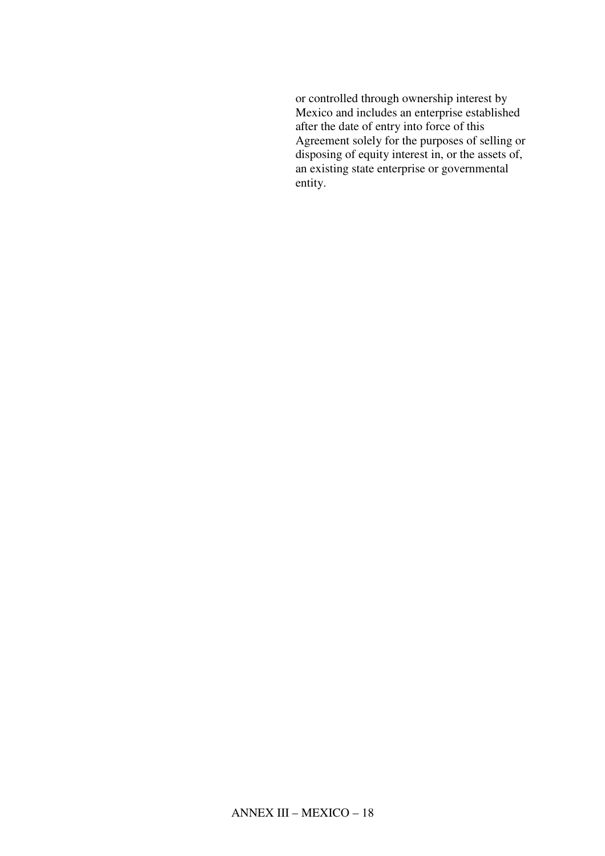or controlled through ownership interest by Mexico and includes an enterprise established after the date of entry into force of this Agreement solely for the purposes of selling or disposing of equity interest in, or the assets of, an existing state enterprise or governmental entity.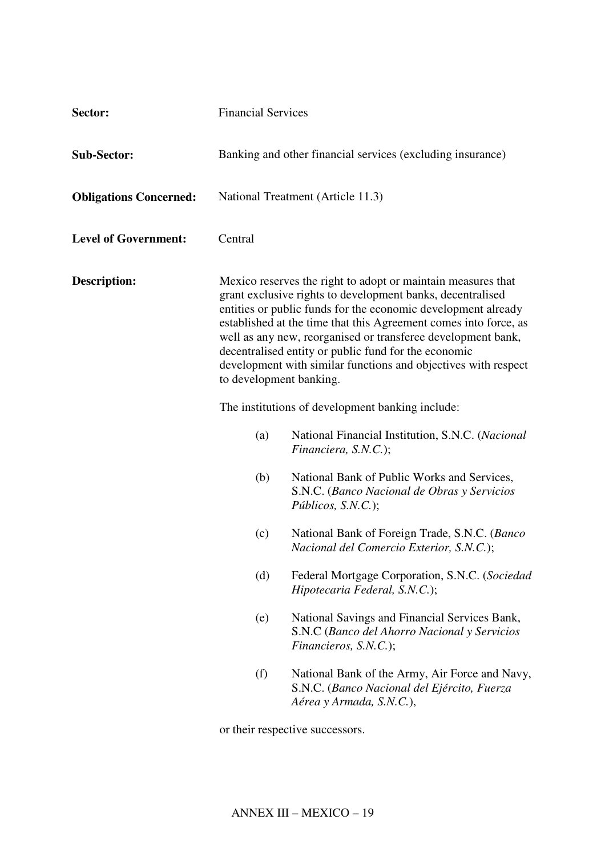| Sector:                       | <b>Financial Services</b>                                                                                                                                                                                                                                                                                                                                                                                                                                                            |                                                                                                                           |
|-------------------------------|--------------------------------------------------------------------------------------------------------------------------------------------------------------------------------------------------------------------------------------------------------------------------------------------------------------------------------------------------------------------------------------------------------------------------------------------------------------------------------------|---------------------------------------------------------------------------------------------------------------------------|
| <b>Sub-Sector:</b>            | Banking and other financial services (excluding insurance)                                                                                                                                                                                                                                                                                                                                                                                                                           |                                                                                                                           |
| <b>Obligations Concerned:</b> |                                                                                                                                                                                                                                                                                                                                                                                                                                                                                      | National Treatment (Article 11.3)                                                                                         |
| <b>Level of Government:</b>   | Central                                                                                                                                                                                                                                                                                                                                                                                                                                                                              |                                                                                                                           |
| <b>Description:</b>           | Mexico reserves the right to adopt or maintain measures that<br>grant exclusive rights to development banks, decentralised<br>entities or public funds for the economic development already<br>established at the time that this Agreement comes into force, as<br>well as any new, reorganised or transferee development bank,<br>decentralised entity or public fund for the economic<br>development with similar functions and objectives with respect<br>to development banking. |                                                                                                                           |
|                               | The institutions of development banking include:                                                                                                                                                                                                                                                                                                                                                                                                                                     |                                                                                                                           |
|                               | (a)                                                                                                                                                                                                                                                                                                                                                                                                                                                                                  | National Financial Institution, S.N.C. (Nacional<br>Financiera, S.N.C.);                                                  |
|                               | (b)                                                                                                                                                                                                                                                                                                                                                                                                                                                                                  | National Bank of Public Works and Services,<br>S.N.C. (Banco Nacional de Obras y Servicios<br>$P$ úblicos, S.N.C.);       |
|                               | (c)                                                                                                                                                                                                                                                                                                                                                                                                                                                                                  | National Bank of Foreign Trade, S.N.C. (Banco<br>Nacional del Comercio Exterior, S.N.C.);                                 |
|                               | (d)                                                                                                                                                                                                                                                                                                                                                                                                                                                                                  | Federal Mortgage Corporation, S.N.C. (Sociedad<br>Hipotecaria Federal, S.N.C.);                                           |
|                               | (e)                                                                                                                                                                                                                                                                                                                                                                                                                                                                                  | National Savings and Financial Services Bank,<br>S.N.C (Banco del Ahorro Nacional y Servicios<br>Financieros, S.N.C.);    |
|                               | (f)                                                                                                                                                                                                                                                                                                                                                                                                                                                                                  | National Bank of the Army, Air Force and Navy,<br>S.N.C. (Banco Nacional del Ejército, Fuerza<br>Aérea y Armada, S.N.C.), |
|                               |                                                                                                                                                                                                                                                                                                                                                                                                                                                                                      | or their respective successors.                                                                                           |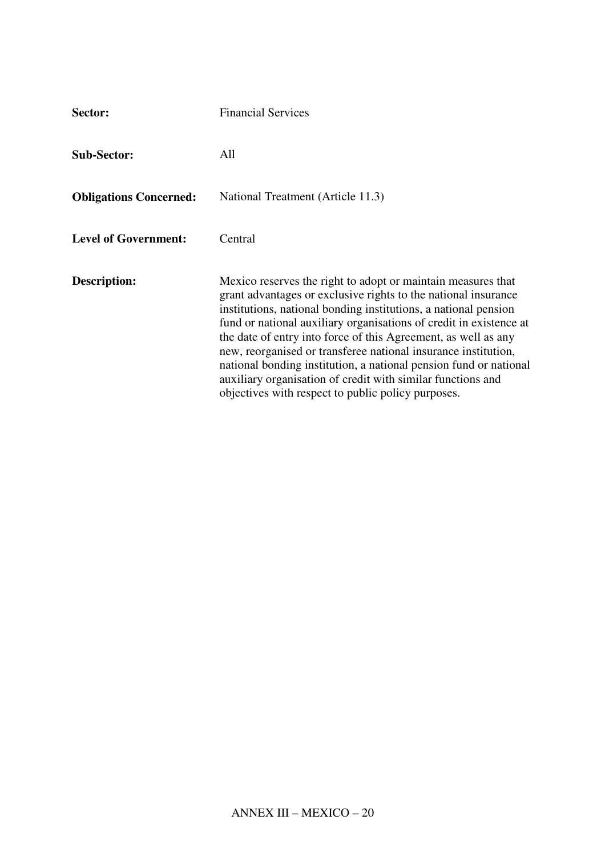| Sector:                       | <b>Financial Services</b>                                                                                                                                                                                                                                                                                                                                                                                                                                                                                                                                                                             |
|-------------------------------|-------------------------------------------------------------------------------------------------------------------------------------------------------------------------------------------------------------------------------------------------------------------------------------------------------------------------------------------------------------------------------------------------------------------------------------------------------------------------------------------------------------------------------------------------------------------------------------------------------|
| <b>Sub-Sector:</b>            | All                                                                                                                                                                                                                                                                                                                                                                                                                                                                                                                                                                                                   |
| <b>Obligations Concerned:</b> | National Treatment (Article 11.3)                                                                                                                                                                                                                                                                                                                                                                                                                                                                                                                                                                     |
| <b>Level of Government:</b>   | Central                                                                                                                                                                                                                                                                                                                                                                                                                                                                                                                                                                                               |
| Description:                  | Mexico reserves the right to adopt or maintain measures that<br>grant advantages or exclusive rights to the national insurance<br>institutions, national bonding institutions, a national pension<br>fund or national auxiliary organisations of credit in existence at<br>the date of entry into force of this Agreement, as well as any<br>new, reorganised or transferee national insurance institution,<br>national bonding institution, a national pension fund or national<br>auxiliary organisation of credit with similar functions and<br>objectives with respect to public policy purposes. |